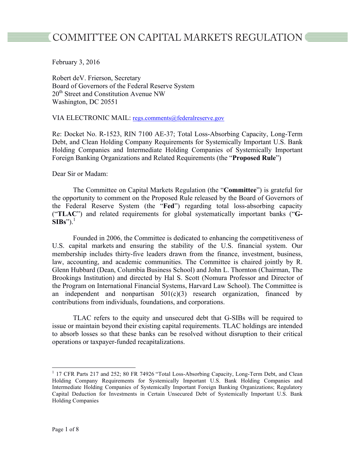# COMMITTEE ON CAPITAL MARKETS REGULATION ■

February 3, 2016

Robert deV. Frierson, Secretary Board of Governors of the Federal Reserve System 20<sup>th</sup> Street and Constitution Avenue NW Washington, DC 20551

VIA ELECTRONIC MAIL: regs.comments@federalreserve.gov

Re: Docket No. R-1523, RIN 7100 AE-37; Total Loss-Absorbing Capacity, Long-Term Debt, and Clean Holding Company Requirements for Systemically Important U.S. Bank Holding Companies and Intermediate Holding Companies of Systemically Important Foreign Banking Organizations and Related Requirements (the "**Proposed Rule**")

Dear Sir or Madam:

The Committee on Capital Markets Regulation (the "**Committee**") is grateful for the opportunity to comment on the Proposed Rule released by the Board of Governors of the Federal Reserve System (the "**Fed**") regarding total loss-absorbing capacity ("**TLAC**") and related requirements for global systematically important banks ("**G-SIBs**").<sup>1</sup>

Founded in 2006, the Committee is dedicated to enhancing the competitiveness of U.S. capital markets and ensuring the stability of the U.S. financial system. Our membership includes thirty-five leaders drawn from the finance, investment, business, law, accounting, and academic communities. The Committee is chaired jointly by R. Glenn Hubbard (Dean, Columbia Business School) and John L. Thornton (Chairman, The Brookings Institution) and directed by Hal S. Scott (Nomura Professor and Director of the Program on International Financial Systems, Harvard Law School). The Committee is an independent and nonpartisan  $501(c)(3)$  research organization, financed by contributions from individuals, foundations, and corporations.

TLAC refers to the equity and unsecured debt that G-SIBs will be required to issue or maintain beyond their existing capital requirements. TLAC holdings are intended to absorb losses so that these banks can be resolved without disruption to their critical operations or taxpayer-funded recapitalizations.

<sup>&</sup>lt;sup>1</sup> 17 CFR Parts 217 and 252; 80 FR 74926 "Total Loss-Absorbing Capacity, Long-Term Debt, and Clean Holding Company Requirements for Systemically Important U.S. Bank Holding Companies and Intermediate Holding Companies of Systemically Important Foreign Banking Organizations; Regulatory Capital Deduction for Investments in Certain Unsecured Debt of Systemically Important U.S. Bank Holding Companies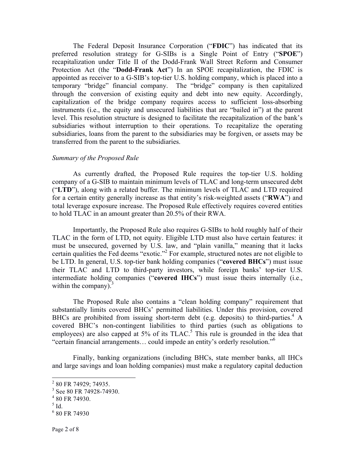The Federal Deposit Insurance Corporation ("**FDIC**") has indicated that its preferred resolution strategy for G-SIBs is a Single Point of Entry ("**SPOE**") recapitalization under Title II of the Dodd-Frank Wall Street Reform and Consumer Protection Act (the "**Dodd-Frank Act**") In an SPOE recapitalization, the FDIC is appointed as receiver to a G-SIB's top-tier U.S. holding company, which is placed into a temporary "bridge" financial company. The "bridge" company is then capitalized through the conversion of existing equity and debt into new equity. Accordingly, capitalization of the bridge company requires access to sufficient loss-absorbing instruments (i.e., the equity and unsecured liabilities that are "bailed in") at the parent level. This resolution structure is designed to facilitate the recapitalization of the bank's subsidiaries without interruption to their operations. To recapitalize the operating subsidiaries, loans from the parent to the subsidiaries may be forgiven, or assets may be transferred from the parent to the subsidiaries.

## *Summary of the Proposed Rule*

As currently drafted, the Proposed Rule requires the top-tier U.S. holding company of a G-SIB to maintain minimum levels of TLAC and long-term unsecured debt ("**LTD**"), along with a related buffer. The minimum levels of TLAC and LTD required for a certain entity generally increase as that entity's risk-weighted assets ("**RWA**") and total leverage exposure increase. The Proposed Rule effectively requires covered entities to hold TLAC in an amount greater than 20.5% of their RWA.

Importantly, the Proposed Rule also requires G-SIBs to hold roughly half of their TLAC in the form of LTD, not equity. Eligible LTD must also have certain features: it must be unsecured, governed by U.S. law, and "plain vanilla," meaning that it lacks certain qualities the Fed deems "exotic."2 For example, structured notes are not eligible to be LTD. In general, U.S. top-tier bank holding companies ("**covered BHCs**") must issue their TLAC and LTD to third-party investors, while foreign banks' top-tier U.S. intermediate holding companies ("**covered IHCs**") must issue theirs internally (i.e., within the company). $3$ 

The Proposed Rule also contains a "clean holding company" requirement that substantially limits covered BHCs' permitted liabilities. Under this provision, covered BHCs are prohibited from issuing short-term debt (e.g. deposits) to third-parties.<sup>4</sup> A covered BHC's non-contingent liabilities to third parties (such as obligations to employees) are also capped at  $5\%$  of its TLAC.<sup>5</sup> This rule is grounded in the idea that "certain financial arrangements… could impede an entity's orderly resolution."<sup>6</sup>

Finally, banking organizations (including BHCs, state member banks, all IHCs and large savings and loan holding companies) must make a regulatory capital deduction

<sup>&</sup>lt;sup>2</sup> 80 FR 74929; 74935.

 $3$  See 80 FR 74928-74930.

<sup>4</sup> 80 FR 74930.

 $<sup>5</sup>$  Id.</sup>

 $6$  80 FR 74930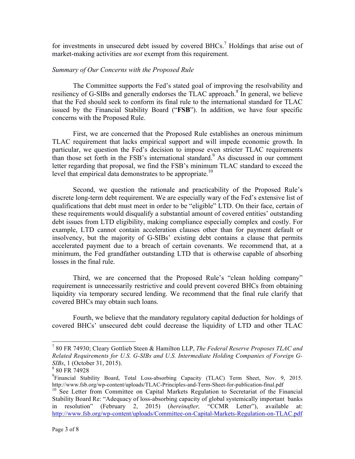for investments in unsecured debt issued by covered BHCs.<sup>7</sup> Holdings that arise out of market-making activities are *not* exempt from this requirement.

## *Summary of Our Concerns with the Proposed Rule*

The Committee supports the Fed's stated goal of improving the resolvability and resiliency of G-SIBs and generally endorses the TLAC approach.<sup>8</sup> In general, we believe that the Fed should seek to conform its final rule to the international standard for TLAC issued by the Financial Stability Board ("**FSB**"). In addition, we have four specific concerns with the Proposed Rule.

First, we are concerned that the Proposed Rule establishes an onerous minimum TLAC requirement that lacks empirical support and will impede economic growth. In particular, we question the Fed's decision to impose even stricter TLAC requirements than those set forth in the FSB's international standard. <sup>9</sup> As discussed in our comment letter regarding that proposal, we find the FSB's minimum TLAC standard to exceed the level that empirical data demonstrates to be appropriate.<sup>10</sup>

Second, we question the rationale and practicability of the Proposed Rule's discrete long-term debt requirement. We are especially wary of the Fed's extensive list of qualifications that debt must meet in order to be "eligible" LTD. On their face, certain of these requirements would disqualify a substantial amount of covered entities' outstanding debt issues from LTD eligibility, making compliance especially complex and costly. For example, LTD cannot contain acceleration clauses other than for payment default or insolvency, but the majority of G-SIBs' existing debt contains a clause that permits accelerated payment due to a breach of certain covenants. We recommend that, at a minimum, the Fed grandfather outstanding LTD that is otherwise capable of absorbing losses in the final rule.

Third, we are concerned that the Proposed Rule's "clean holding company" requirement is unnecessarily restrictive and could prevent covered BHCs from obtaining liquidity via temporary secured lending. We recommend that the final rule clarify that covered BHCs may obtain such loans.

Fourth, we believe that the mandatory regulatory capital deduction for holdings of covered BHCs' unsecured debt could decrease the liquidity of LTD and other TLAC

 <sup>7</sup> 80 FR 74930; Cleary Gottlieb Steen & Hamilton LLP, *The Federal Reserve Proposes TLAC and Related Requirements for U.S. G-SIBs and U.S. Intermediate Holding Companies of Foreign G-SIBs*, 1 (October 31, 2015).

<sup>8</sup> 80 FR 74928

<sup>&</sup>lt;sup>9</sup>Financial Stability Board, Total Loss-absorbing Capacity (TLAC) Term Sheet, Nov. 9, 2015. http://www.fsb.org/wp-content/uploads/TLAC-Principles-and-Term-Sheet-for-publication-final.pdf

<sup>&</sup>lt;sup>10</sup> See Letter from Committee on Capital Markets Regulation to Secretariat of the Financial Stability Board Re: "Adequacy of loss-absorbing capacity of global systemically important banks in resolution" (February 2, 2015) (*hereinafter,* "CCMR Letter"), available at: http://www.fsb.org/wp-content/uploads/Committee-on-Capital-Markets-Regulation-on-TLAC.pdf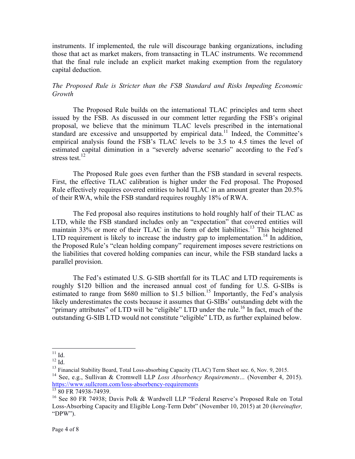instruments. If implemented, the rule will discourage banking organizations, including those that act as market makers, from transacting in TLAC instruments. We recommend that the final rule include an explicit market making exemption from the regulatory capital deduction.

# *The Proposed Rule is Stricter than the FSB Standard and Risks Impeding Economic Growth*

The Proposed Rule builds on the international TLAC principles and term sheet issued by the FSB. As discussed in our comment letter regarding the FSB's original proposal, we believe that the minimum TLAC levels prescribed in the international standard are excessive and unsupported by empirical data. <sup>11</sup> Indeed, the Committee's empirical analysis found the FSB's TLAC levels to be 3.5 to 4.5 times the level of estimated capital diminution in a "severely adverse scenario" according to the Fed's stress test. $12$ 

The Proposed Rule goes even further than the FSB standard in several respects. First, the effective TLAC calibration is higher under the Fed proposal. The Proposed Rule effectively requires covered entities to hold TLAC in an amount greater than 20.5% of their RWA, while the FSB standard requires roughly 18% of RWA.

The Fed proposal also requires institutions to hold roughly half of their TLAC as LTD, while the FSB standard includes only an "expectation" that covered entities will maintain 33% or more of their TLAC in the form of debt liabilities.<sup>13</sup> This heightened LTD requirement is likely to increase the industry gap to implementation.<sup>14</sup> In addition, the Proposed Rule's "clean holding company" requirement imposes severe restrictions on the liabilities that covered holding companies can incur, while the FSB standard lacks a parallel provision.

The Fed's estimated U.S. G-SIB shortfall for its TLAC and LTD requirements is roughly \$120 billion and the increased annual cost of funding for U.S. G-SIBs is estimated to range from  $$680$  million to  $$1.5$  billion.<sup>15</sup> Importantly, the Fed's analysis likely underestimates the costs because it assumes that G-SIBs' outstanding debt with the "primary attributes" of LTD will be "eligible" LTD under the rule.<sup>16</sup> In fact, much of the outstanding G-SIB LTD would not constitute "eligible" LTD, as further explained below.

 $11$  Id.

 $12$  Id.

<sup>&</sup>lt;sup>13</sup> Financial Stability Board, Total Loss-absorbing Capacity (TLAC) Term Sheet sec. 6, Nov. 9, 2015.

<sup>14</sup> See, e.g., Sullivan & Cromwell LLP *Loss Absorbency Requirements…* (November 4, 2015). https://www.sullcrom.com/loss-absorbency-requirements

 $\frac{15}{15}$  80 FR 74938-74939.

<sup>&</sup>lt;sup>16</sup> See 80 FR 74938; Davis Polk & Wardwell LLP "Federal Reserve's Proposed Rule on Total Loss-Absorbing Capacity and Eligible Long-Term Debt" (November 10, 2015) at 20 (*hereinafter,*  "DPW").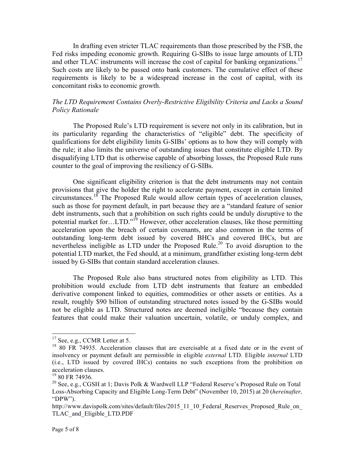In drafting even stricter TLAC requirements than those prescribed by the FSB, the Fed risks impeding economic growth. Requiring G-SIBs to issue large amounts of LTD and other TLAC instruments will increase the cost of capital for banking organizations.<sup>17</sup> Such costs are likely to be passed onto bank customers. The cumulative effect of these requirements is likely to be a widespread increase in the cost of capital, with its concomitant risks to economic growth.

# *The LTD Requirement Contains Overly-Restrictive Eligibility Criteria and Lacks a Sound Policy Rationale*

The Proposed Rule's LTD requirement is severe not only in its calibration, but in its particularity regarding the characteristics of "eligible" debt. The specificity of qualifications for debt eligibility limits G-SIBs' options as to how they will comply with the rule; it also limits the universe of outstanding issues that constitute eligible LTD. By disqualifying LTD that is otherwise capable of absorbing losses, the Proposed Rule runs counter to the goal of improving the resiliency of G-SIBs.

One significant eligibility criterion is that the debt instruments may not contain provisions that give the holder the right to accelerate payment, except in certain limited circumstances.<sup>18</sup> The Proposed Rule would allow certain types of acceleration clauses, such as those for payment default, in part because they are a "standard feature of senior debt instruments, such that a prohibition on such rights could be unduly disruptive to the potential market for…LTD."<sup>19</sup> However, other acceleration clauses, like those permitting acceleration upon the breach of certain covenants, are also common in the terms of outstanding long-term debt issued by covered BHCs and covered IHCs, but are nevertheless ineligible as LTD under the Proposed Rule. <sup>20</sup> To avoid disruption to the potential LTD market, the Fed should, at a minimum, grandfather existing long-term debt issued by G-SIBs that contain standard acceleration clauses.

The Proposed Rule also bans structured notes from eligibility as LTD. This prohibition would exclude from LTD debt instruments that feature an embedded derivative component linked to equities, commodities or other assets or entities. As a result, roughly \$90 billion of outstanding structured notes issued by the G-SIBs would not be eligible as LTD. Structured notes are deemed ineligible "because they contain features that could make their valuation uncertain, volatile, or unduly complex, and

<sup>&</sup>lt;sup>17</sup> See, e.g., CCMR Letter at 5.

<sup>&</sup>lt;sup>18</sup> 80 FR 74935. Acceleration clauses that are exercisable at a fixed date or in the event of insolvency or payment default are permissible in eligible *external* LTD. Eligible *internal* LTD (i.e., LTD issued by covered IHCs) contains no such exceptions from the prohibition on acceleration clauses.

 $19$  80 FR 74936.

<sup>20</sup> See, e.g., CGSH at 1; Davis Polk & Wardwell LLP "Federal Reserve's Proposed Rule on Total Loss-Absorbing Capacity and Eligible Long-Term Debt" (November 10, 2015) at 20 (*hereinafter,*  "DPW").

http://www.davispolk.com/sites/default/files/2015\_11\_10\_Federal\_Reserves\_Proposed\_Rule\_on TLAC\_and\_Eligible\_LTD.PDF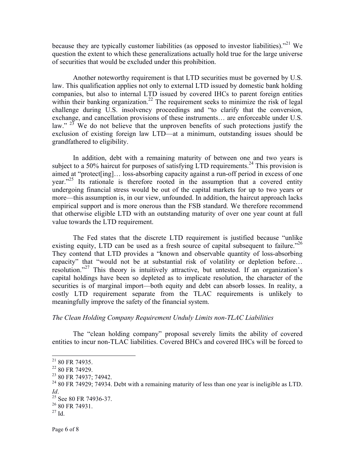because they are typically customer liabilities (as opposed to investor liabilities).<sup> $21$ </sup> We question the extent to which these generalizations actually hold true for the large universe of securities that would be excluded under this prohibition.

Another noteworthy requirement is that LTD securities must be governed by U.S. law. This qualification applies not only to external LTD issued by domestic bank holding companies, but also to internal LTD issued by covered IHCs to parent foreign entities within their banking organization.<sup>22</sup> The requirement seeks to minimize the risk of legal challenge during U.S. insolvency proceedings and "to clarify that the conversion, exchange, and cancellation provisions of these instruments… are enforceable under U.S. law."  $23$  We do not believe that the unproven benefits of such protections justify the exclusion of existing foreign law LTD—at a minimum, outstanding issues should be grandfathered to eligibility.

In addition, debt with a remaining maturity of between one and two years is subject to a 50% haircut for purposes of satisfying LTD requirements.<sup>24</sup> This provision is aimed at "protect[ing]… loss-absorbing capacity against a run-off period in excess of one year."<sup>25</sup> Its rationale is therefore rooted in the assumption that a covered entity undergoing financial stress would be out of the capital markets for up to two years or more—this assumption is, in our view, unfounded. In addition, the haircut approach lacks empirical support and is more onerous than the FSB standard. We therefore recommend that otherwise eligible LTD with an outstanding maturity of over one year count at full value towards the LTD requirement.

The Fed states that the discrete LTD requirement is justified because "unlike existing equity, LTD can be used as a fresh source of capital subsequent to failure."<sup>26</sup> They contend that LTD provides a "known and observable quantity of loss-absorbing capacity" that "would not be at substantial risk of volatility or depletion before… resolution."<sup>27</sup> This theory is intuitively attractive, but untested. If an organization's capital holdings have been so depleted as to implicate resolution, the character of the securities is of marginal import—both equity and debt can absorb losses. In reality, a costly LTD requirement separate from the TLAC requirements is unlikely to meaningfully improve the safety of the financial system.

#### *The Clean Holding Company Requirement Unduly Limits non-TLAC Liabilities*

The "clean holding company" proposal severely limits the ability of covered entities to incur non-TLAC liabilities. Covered BHCs and covered IHCs will be forced to

 $2180$  FR 74935.

 $22$  80 FR 74929.

<sup>&</sup>lt;sup>23</sup> 80 FR 74937: 74942.

 $24$  80 FR 74929; 74934. Debt with a remaining maturity of less than one year is ineligible as LTD. *Id.* <br><sup>25</sup> See 80 FR 74936-37.

<sup>26</sup> 80 FR 74931.

 $27$  Id.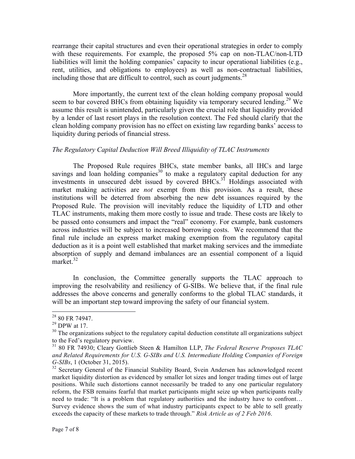rearrange their capital structures and even their operational strategies in order to comply with these requirements. For example, the proposed 5% cap on non-TLAC/non-LTD liabilities will limit the holding companies' capacity to incur operational liabilities (e.g., rent, utilities, and obligations to employees) as well as non-contractual liabilities, including those that are difficult to control, such as court judgments.<sup>28</sup>

More importantly, the current text of the clean holding company proposal would seem to bar covered BHCs from obtaining liquidity via temporary secured lending.<sup>29</sup> We assume this result is unintended, particularly given the crucial role that liquidity provided by a lender of last resort plays in the resolution context. The Fed should clarify that the clean holding company provision has no effect on existing law regarding banks' access to liquidity during periods of financial stress.

## *The Regulatory Capital Deduction Will Breed Illiquidity of TLAC Instruments*

The Proposed Rule requires BHCs, state member banks, all IHCs and large savings and loan holding companies<sup>30</sup> to make a regulatory capital deduction for any investments in unsecured debt issued by covered BHCs.<sup>31</sup> Holdings associated with market making activities are *not* exempt from this provision. As a result, these institutions will be deterred from absorbing the new debt issuances required by the Proposed Rule. The provision will inevitably reduce the liquidity of LTD and other TLAC instruments, making them more costly to issue and trade. These costs are likely to be passed onto consumers and impact the "real" economy. For example, bank customers across industries will be subject to increased borrowing costs. We recommend that the final rule include an express market making exemption from the regulatory capital deduction as it is a point well established that market making services and the immediate absorption of supply and demand imbalances are an essential component of a liquid market.<sup>32</sup>

In conclusion, the Committee generally supports the TLAC approach to improving the resolvability and resiliency of G-SIBs. We believe that, if the final rule addresses the above concerns and generally conforms to the global TLAC standards, it will be an important step toward improving the safety of our financial system.

 <sup>28</sup> 80 FR 74947.

 $^{29}$  DPW at 17.

 $30$  The organizations subject to the regulatory capital deduction constitute all organizations subject to the Fed's regulatory purview.

<sup>31</sup> 80 FR 74930; Cleary Gottlieb Steen & Hamilton LLP, *The Federal Reserve Proposes TLAC and Related Requirements for U.S. G-SIBs and U.S. Intermediate Holding Companies of Foreign G-SIBs*, 1 (October 31, 2015).

 $32$  Secretary General of the Financial Stability Board, Svein Andersen has acknowledged recent market liquidity distortion as evidenced by smaller lot sizes and longer trading times out of large positions. While such distortions cannot necessarily be traded to any one particular regulatory reform, the FSB remains fearful that market participants might seize up when participants really need to trade: "It is a problem that regulatory authorities and the industry have to confront… Survey evidence shows the sum of what industry participants expect to be able to sell greatly exceeds the capacity of these markets to trade through." *Risk Article as of 2 Feb 2016*.